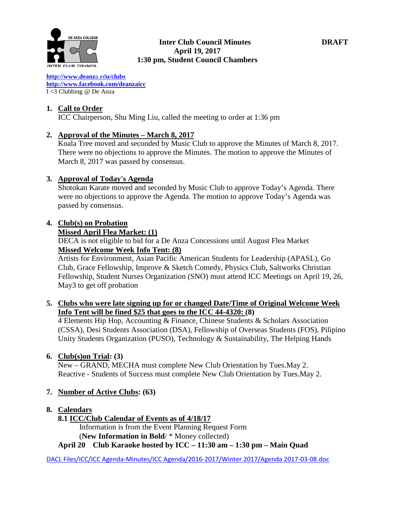

#### **Inter Club Council Minutes DRAFT April 19, 2017 1:30 pm, Student Council Chambers**

**[http://www.deanz](http://www.deanza.edu/clubs)**[a.ed](http://www.deanza.edu/clubs)**[u/clubs](http://www.deanza.edu/clubs) [http://www.facebook.com/deanzaicc](http://www.facebook.com/home.php#!/group.php?gid=59034552686)** I <3 Clubbing @ De Anza

# **1. Call to Order**

ICC Chairperson, Shu Ming Liu, called the meeting to order at 1:36 pm

# **2. Approval of the Minutes – March 8, 2017**

Koala Tree moved and seconded by Music Club to approve the Minutes of March 8, 2017. There were no objections to approve the Minutes. The motion to approve the Minutes of March 8, 2017 was passed by consensus.

# **3. Approval of Today's Agenda**

Shotokan Karate moved and seconded by Music Club to approve Today's Agenda. There were no objections to approve the Agenda. The motion to approve Today's Agenda was passed by consensus.

# **4. Club(s) on Probation**

#### **Missed April Flea Market: (1)**

DECA is not eligible to bid for a De Anza Concessions until August Flea Market **Missed Welcome Week Info Tent: (8)**

Artists for Environment, Asian Pacific American Students for Leadership (APASL), Go Club, Grace Fellowship, Improve & Sketch Comedy, Physics Club, Saltworks Christian Fellowship, Student Nurses Organization (SNO) must attend ICC Meetings on April 19, 26, May3 to get off probation

# **5. Clubs who were late signing up for or changed Date/Time of Original Welcome Week Info Tent will be fined \$25 that goes to the ICC 44-4320: (8)**

4 Elements Hip Hop, Accounting & Finance, Chinese Students & Scholars Association (CSSA), Desi Students Association (DSA), Fellowship of Overseas Students (FOS), Pilipino Unity Students Organization (PUSO), Technology & Sustainability, The Helping Hands

# **6. Club(s)on Trial: (3)**

New – GRAND, MECHA must complete New Club Orientation by Tues.May 2. Reactive - Students of Success must complete New Club Orientation by Tues.May 2.

# **7. Number of Active Clubs: (63)**

# **8. Calendars**

# **8.1 ICC/Club Calendar of Events as of 4/18/17**

 Information is from the Event Planning Request Form (**New Information in Bold**/ \* Money collected)

**April 20 Club Karaoke hosted by ICC – 11:30 am – 1:30 pm – Main Quad**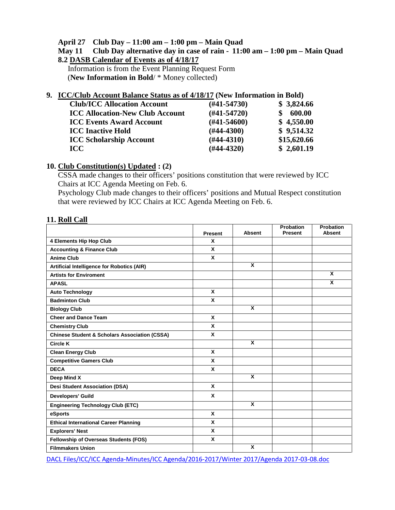#### **April 27 Club Day – 11:00 am – 1:00 pm – Main Quad**

#### **May 11 Club Day alternative day in case of rain - 11:00 am – 1:00 pm – Main Quad 8.2 DASB Calendar of Events as of 4/18/17**

Information is from the Event Planning Request Form (**New Information in Bold**/ \* Money collected)

#### **9. ICC/Club Account Balance Status as of 4/18/17 (New Information in Bold)**

| <b>Club/ICC Allocation Account</b>     | $(H41-54730)$    | \$3,824.66  |
|----------------------------------------|------------------|-------------|
| <b>ICC Allocation-New Club Account</b> | $(H41-54720)$    | 600.00      |
| <b>ICC Events Award Account</b>        | $(\#41 - 54600)$ | \$4,550.00  |
| <b>ICC Inactive Hold</b>               | $(H44-4300)$     | \$9,514.32  |
| <b>ICC Scholarship Account</b>         | $(H44-4310)$     | \$15,620.66 |
| ICC.                                   | $(H44-4320)$     | \$2,601.19  |

# **10. Club Constitution(s) Updated : (2)**

CSSA made changes to their officers' positions constitution that were reviewed by ICC Chairs at ICC Agenda Meeting on Feb. 6.

Psychology Club made changes to their officers' positions and Mutual Respect constitution that were reviewed by ICC Chairs at ICC Agenda Meeting on Feb. 6.

#### **11. Roll Call**

|                                                          |              |                         | <b>Probation</b> | Probation     |
|----------------------------------------------------------|--------------|-------------------------|------------------|---------------|
|                                                          | Present      | <b>Absent</b>           | Present          | <b>Absent</b> |
| 4 Elements Hip Hop Club                                  | x            |                         |                  |               |
| <b>Accounting &amp; Finance Club</b>                     | X            |                         |                  |               |
| <b>Anime Club</b>                                        | X            |                         |                  |               |
| Artificial Intelligence for Robotics (AIR)               |              | $\mathbf{x}$            |                  |               |
| <b>Artists for Enviroment</b>                            |              |                         |                  | X             |
| <b>APASL</b>                                             |              |                         |                  | X             |
| <b>Auto Technology</b>                                   | X            |                         |                  |               |
| <b>Badminton Club</b>                                    | X            |                         |                  |               |
| <b>Biology Club</b>                                      |              | X                       |                  |               |
| <b>Cheer and Dance Team</b>                              | $\mathbf{x}$ |                         |                  |               |
| <b>Chemistry Club</b>                                    | X            |                         |                  |               |
| <b>Chinese Student &amp; Scholars Association (CSSA)</b> | X            |                         |                  |               |
| Circle K                                                 |              | X                       |                  |               |
| <b>Clean Energy Club</b>                                 | X            |                         |                  |               |
| <b>Competitive Gamers Club</b>                           | X            |                         |                  |               |
| <b>DECA</b>                                              | X            |                         |                  |               |
| Deep Mind X                                              |              | $\overline{\mathbf{x}}$ |                  |               |
| <b>Desi Student Association (DSA)</b>                    | $\mathbf{x}$ |                         |                  |               |
| <b>Developers' Guild</b>                                 | X            |                         |                  |               |
| <b>Engineering Technology Club (ETC)</b>                 |              | $\overline{\mathbf{x}}$ |                  |               |
| eSports                                                  | X            |                         |                  |               |
| <b>Ethical International Career Planning</b>             | X            |                         |                  |               |
| <b>Explorers' Nest</b>                                   | X            |                         |                  |               |
| Fellowship of Overseas Students (FOS)                    | X            |                         |                  |               |
| <b>Filmmakers Union</b>                                  |              | X                       |                  |               |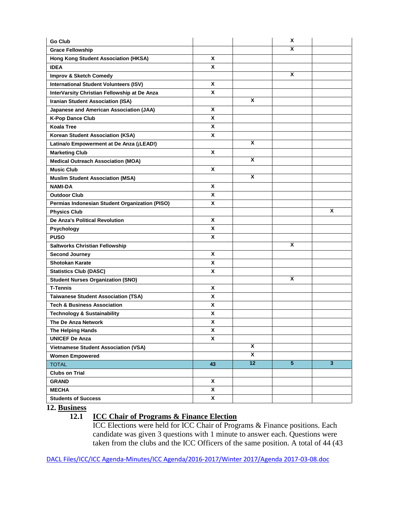| <b>Go Club</b>                                 |              |                         | Χ              |                         |
|------------------------------------------------|--------------|-------------------------|----------------|-------------------------|
| <b>Grace Fellowship</b>                        |              |                         | X              |                         |
| Hong Kong Student Association (HKSA)           | X            |                         |                |                         |
| <b>IDEA</b>                                    | X            |                         |                |                         |
| Improv & Sketch Comedy                         |              |                         | Χ              |                         |
| <b>International Student Volunteers (ISV)</b>  | X            |                         |                |                         |
| InterVarsity Christian Fellowship at De Anza   | X            |                         |                |                         |
| <b>Iranian Student Association (ISA)</b>       |              | X                       |                |                         |
| Japanese and American Association (JAA)        | X            |                         |                |                         |
| <b>K-Pop Dance Club</b>                        | X            |                         |                |                         |
| <b>Koala Tree</b>                              | X            |                         |                |                         |
| Korean Student Association (KSA)               | X            |                         |                |                         |
| Latina/o Empowerment at De Anza (¡LEAD!)       |              | X                       |                |                         |
| <b>Marketing Club</b>                          | X            |                         |                |                         |
| <b>Medical Outreach Association (MOA)</b>      |              | X                       |                |                         |
| <b>Music Club</b>                              | X            |                         |                |                         |
| <b>Muslim Student Association (MSA)</b>        |              | X                       |                |                         |
| <b>NAMI-DA</b>                                 | X            |                         |                |                         |
| <b>Outdoor Club</b>                            | X            |                         |                |                         |
| Permias Indonesian Student Organization (PISO) | X            |                         |                |                         |
| <b>Physics Club</b>                            |              |                         |                | X                       |
| <b>De Anza's Political Revolution</b>          | X            |                         |                |                         |
| Psychology                                     | X            |                         |                |                         |
| <b>PUSO</b>                                    | X            |                         |                |                         |
| <b>Saltworks Christian Fellowship</b>          |              |                         | X              |                         |
| <b>Second Journey</b>                          | X            |                         |                |                         |
| <b>Shotokan Karate</b>                         | X            |                         |                |                         |
| <b>Statistics Club (DASC)</b>                  | X            |                         |                |                         |
| <b>Student Nurses Organization (SNO)</b>       |              |                         | X              |                         |
| <b>T-Tennis</b>                                | X            |                         |                |                         |
| <b>Taiwanese Student Association (TSA)</b>     | X            |                         |                |                         |
| <b>Tech &amp; Business Association</b>         | X            |                         |                |                         |
| <b>Technology &amp; Sustainability</b>         | X            |                         |                |                         |
| The De Anza Network                            | X            |                         |                |                         |
| The Helping Hands                              | X            |                         |                |                         |
| <b>UNICEF De Anza</b>                          | $\mathbf{x}$ |                         |                |                         |
| <b>Vietnamese Student Association (VSA)</b>    |              | $\overline{\mathbf{x}}$ |                |                         |
| <b>Women Empowered</b>                         |              | $\overline{\mathbf{x}}$ |                |                         |
| <b>TOTAL</b>                                   | 43           | 12                      | $\overline{5}$ | $\overline{\mathbf{3}}$ |
| <b>Clubs on Trial</b>                          |              |                         |                |                         |
| <b>GRAND</b>                                   | X            |                         |                |                         |
| <b>MECHA</b>                                   | X            |                         |                |                         |
| <b>Students of Success</b>                     | X            |                         |                |                         |

**12. Business**

# **12.1 ICC Chair of Programs & Finance Election**

ICC Elections were held for ICC Chair of Programs & Finance positions. Each candidate was given 3 questions with 1 minute to answer each. Questions were taken from the clubs and the ICC Officers of the same position. A total of 44 (43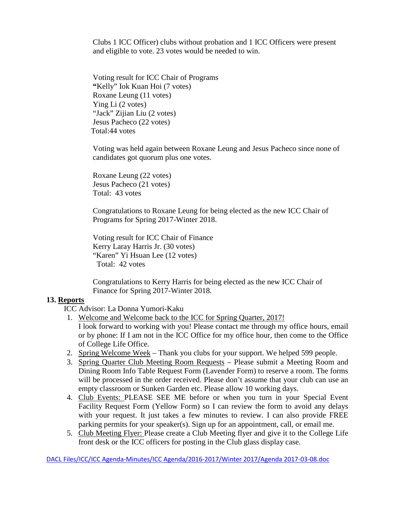Clubs 1 ICC Officer) clubs without probation and 1 ICC Officers were present and eligible to vote. 23 votes would be needed to win.

Voting result for ICC Chair of Programs **"**Kelly" Iok Kuan Hoi (7 votes) Roxane Leung (11 votes) Ying Li (2 votes) "Jack" Zijian Liu (2 votes) Jesus Pacheco (22 votes) Total:44 votes

Voting was held again between Roxane Leung and Jesus Pacheco since none of candidates got quorum plus one votes.

Roxane Leung (22 votes) Jesus Pacheco (21 votes) Total: 43 votes

Congratulations to Roxane Leung for being elected as the new ICC Chair of Programs for Spring 2017-Winter 2018.

Voting result for ICC Chair of Finance Kerry Laray Harris Jr. (30 votes) "Karen" Yi Hsuan Lee (12 votes) Total: 42 votes

Congratulations to Kerry Harris for being elected as the new ICC Chair of Finance for Spring 2017-Winter 2018.

#### **13. Reports**

ICC Advisor: La Donna Yumori-Kaku

- 1. Welcome and Welcome back to the ICC for Spring Quarter, 2017!
- I look forward to working with you! Please contact me through my office hours, email or by phone: If I am not in the ICC Office for my office hour, then come to the Office of College Life Office.
- 2. Spring Welcome Week Thank you clubs for your support. We helped 599 people.
- 3. Spring Quarter Club Meeting Room Requests Please submit a Meeting Room and Dining Room Info Table Request Form (Lavender Form) to reserve a room. The forms will be processed in the order received. Please don't assume that your club can use an empty classroom or Sunken Garden etc. Please allow 10 working days.
- 4. Club Events: PLEASE SEE ME before or when you turn in your Special Event Facility Request Form (Yellow Form) so I can review the form to avoid any delays with your request. It just takes a few minutes to review. I can also provide FREE parking permits for your speaker(s). Sign up for an appointment, call, or email me.
- 5. Club Meeting Flyer: Please create a Club Meeting flyer and give it to the College Life front desk or the ICC officers for posting in the Club glass display case.